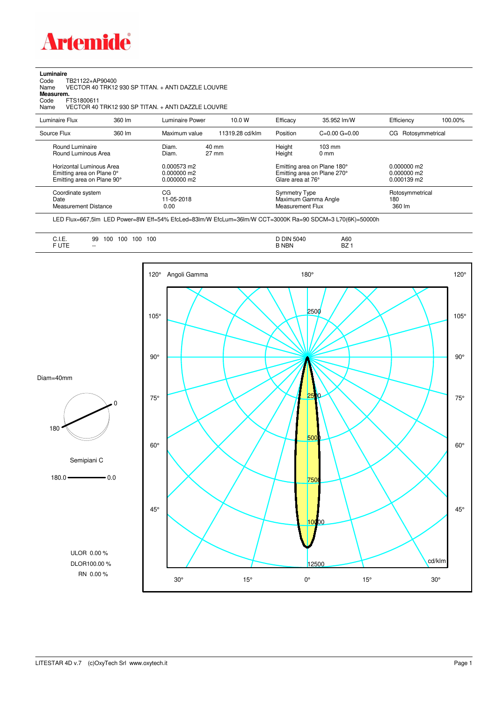

**Luminaire**<br>Code T<br>Name \ Code TB21122+AP90400 Name VECTOR 40 TRK12 930 SP TITAN. + ANTI DAZZLE LOUVRE **Measurem.**

Code FTS1800611<br>Name VECTOR 40 Name VECTOR 40 TRK12 930 SP TITAN. + ANTI DAZZLE LOUVRE

| Luminaire Flux                                                                                                                | 360 lm | Luminaire Power                                                 | 10.0 W                             | Efficacy                                                        | 35.952 lm/W                                                                                                                               | Efficiency                       | 100.00% |
|-------------------------------------------------------------------------------------------------------------------------------|--------|-----------------------------------------------------------------|------------------------------------|-----------------------------------------------------------------|-------------------------------------------------------------------------------------------------------------------------------------------|----------------------------------|---------|
| Source Flux                                                                                                                   | 360 lm | Maximum value                                                   | 11319.28 cd/klm                    | Position                                                        | $C=0.00$ $G=0.00$                                                                                                                         | CG Rotosymmetrical               |         |
| Round Luminaire<br>Round Luminous Area<br>Horizontal Luminous Area<br>Emitting area on Plane 0°<br>Emitting area on Plane 90° |        | Diam.<br>Diam.<br>0.000573 m2<br>$0.000000$ m2<br>$0.000000$ m2 | $40 \text{ mm}$<br>$27 \text{ mm}$ |                                                                 | Height<br>$103 \text{ mm}$<br>Height<br>$0 \text{ mm}$<br>Emitting area on Plane 180°<br>Emitting area on Plane 270°<br>Glare area at 76° |                                  |         |
| Coordinate system<br>Date<br><b>Measurement Distance</b>                                                                      |        | CG<br>11-05-2018<br>0.00                                        |                                    | <b>Symmetry Type</b><br>Maximum Gamma Angle<br>Measurement Flux |                                                                                                                                           | Rotosymmetrical<br>180<br>360 lm |         |

LED Flux=667,5lm LED Power=8W Eff=54% EfcLed=83lm/W EfcLum=36lm/W CCT=3000K Ra=90 SDCM=3 L70(6K)=50000h